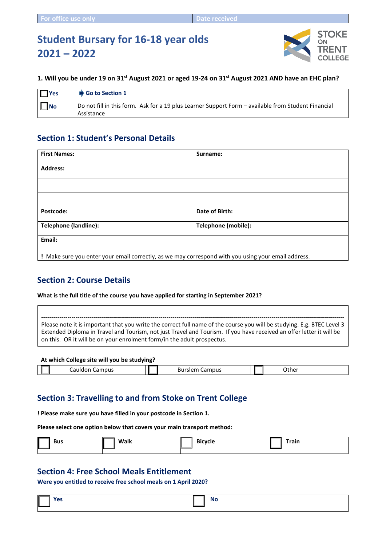# **Student Bursary for 16-18 year olds 2021 – 2022**



#### **1. Will you be under 19 on 31st August 2021 or aged 19-24 on 31st August 2021 AND have an EHC plan?**

| $\blacksquare$ Yes | $\bigcirc$ Go to Section 1                                                                                        |
|--------------------|-------------------------------------------------------------------------------------------------------------------|
| II No              | Do not fill in this form. Ask for a 19 plus Learner Support Form - available from Student Financial<br>Assistance |

### **Section 1: Student's Personal Details**

| <b>First Names:</b>                                                                                 | Surname:            |  |
|-----------------------------------------------------------------------------------------------------|---------------------|--|
| <b>Address:</b>                                                                                     |                     |  |
|                                                                                                     |                     |  |
|                                                                                                     |                     |  |
| Postcode:                                                                                           | Date of Birth:      |  |
| <b>Telephone (landline):</b>                                                                        | Telephone (mobile): |  |
| Email:                                                                                              |                     |  |
| ! Make sure you enter your email correctly, as we may correspond with you using your email address. |                     |  |

### **Section 2: Course Details**

**What is the full title of the course you have applied for starting in September 2021?** 

**------------------------------------------------------------------------------------------------------------------------------------------------------**  Please note it is important that you write the correct full name of the course you will be studying. E.g. BTEC Level 3 Extended Diploma in Travel and Tourism, not just Travel and Tourism. If you have received an offer letter it will be on this. OR it will be on your enrolment form/in the adult prospectus.

#### **At which College site will you be studying?**

| Campus<br>--<br>cauldo… |  | Campus<br>– Burslen |  | $\sim$<br>ںUther |
|-------------------------|--|---------------------|--|------------------|
|-------------------------|--|---------------------|--|------------------|

### **Section 3: Travelling to and from Stoke on Trent College**

**! Please make sure you have filled in your postcode in Section 1.**

**Please select one option below that covers your main transport method:**

| I<br>Bus | <b>Walk</b> | <b>Bicycle</b><br>$-$ | <b>Train</b> |
|----------|-------------|-----------------------|--------------|
|          | ________    |                       |              |

### **Section 4: Free School Meals Entitlement**

**Were you entitled to receive free school meals on 1 April 2020?** 

| $\overline{\mathbb{L}}$ | $\sim$ $ -$<br>5 | No |
|-------------------------|------------------|----|
|                         |                  |    |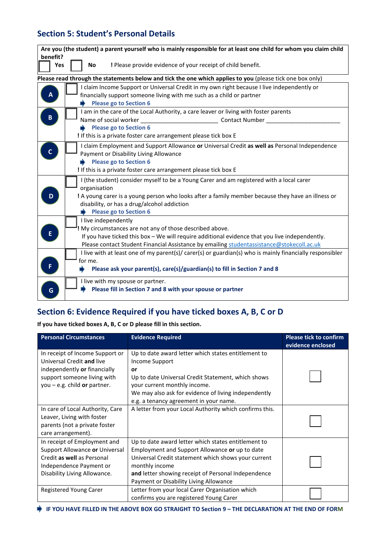# **Section 5: Student's Personal Details**

| Are you (the student) a parent yourself who is mainly responsible for at least one child for whom you claim child                                                                                                                                                                                                                                                                                           |
|-------------------------------------------------------------------------------------------------------------------------------------------------------------------------------------------------------------------------------------------------------------------------------------------------------------------------------------------------------------------------------------------------------------|
| benefit?<br>Yes<br>! Please provide evidence of your receipt of child benefit.<br><b>No</b>                                                                                                                                                                                                                                                                                                                 |
| Please read through the statements below and tick the one which applies to you (please tick one box only)                                                                                                                                                                                                                                                                                                   |
| I claim Income Support or Universal Credit in my own right because I live independently or<br>$\overline{A}$<br>financially support someone living with me such as a child or partner<br><b>Please go to Section 6</b>                                                                                                                                                                                      |
| I am in the care of the Local Authority, a care leaver or living with foster parents<br>$\pmb B$<br>Name of social worker<br>Contact Number<br><b>Please go to Section 6</b>                                                                                                                                                                                                                                |
| I If this is a private foster care arrangement please tick box E                                                                                                                                                                                                                                                                                                                                            |
| I claim Employment and Support Allowance or Universal Credit as well as Personal Independence<br>C<br>Payment or Disability Living Allowance<br><b>Please go to Section 6</b><br>I If this is a private foster care arrangement please tick box E                                                                                                                                                           |
| I (the student) consider myself to be a Young Carer and am registered with a local carer<br>organisation<br>! A young carer is a young person who looks after a family member because they have an illness or<br>disability, or has a drug/alcohol addiction<br>Please go to Section 6                                                                                                                      |
| I live independently<br>! My circumstances are not any of those described above.<br>E<br>If you have ticked this box - We will require additional evidence that you live independently.<br>Please contact Student Financial Assistance by emailing studentassistance@stokecoll.ac.uk<br>I live with at least one of my parent(s)/ carer(s) or guardian(s) who is mainly financially responsibler<br>for me. |
| F<br>Please ask your parent(s), care(s)/guardian(s) to fill in Section 7 and 8                                                                                                                                                                                                                                                                                                                              |
| I live with my spouse or partner.<br>Please fill in Section 7 and 8 with your spouse or partner<br>G                                                                                                                                                                                                                                                                                                        |

# **Section 6: Evidence Required if you have ticked boxes A, B, C or D**

#### **If you have ticked boxes A, B, C or D please fill in this section.**

| <b>Personal Circumstances</b>                                                                                                                                 | <b>Evidence Required</b>                                                                                                                                                                                                                                                        | <b>Please tick to confirm</b><br>evidence enclosed |
|---------------------------------------------------------------------------------------------------------------------------------------------------------------|---------------------------------------------------------------------------------------------------------------------------------------------------------------------------------------------------------------------------------------------------------------------------------|----------------------------------------------------|
| In receipt of Income Support or<br>Universal Credit and live<br>independently or financially<br>support someone living with<br>you $-$ e.g. child or partner. | Up to date award letter which states entitlement to<br>Income Support<br>or<br>Up to date Universal Credit Statement, which shows<br>your current monthly income.<br>We may also ask for evidence of living independently<br>e.g. a tenancy agreement in your name.             |                                                    |
| In care of Local Authority, Care<br>Leaver, Living with foster<br>parents (not a private foster<br>care arrangement).                                         | A letter from your Local Authority which confirms this.                                                                                                                                                                                                                         |                                                    |
| In receipt of Employment and<br>Support Allowance or Universal<br>Credit as well as Personal<br>Independence Payment or<br>Disability Living Allowance.       | Up to date award letter which states entitlement to<br>Employment and Support Allowance or up to date<br>Universal Credit statement which shows your current<br>monthly income<br>and letter showing receipt of Personal Independence<br>Payment or Disability Living Allowance |                                                    |
| Registered Young Carer                                                                                                                                        | Letter from your local Carer Organisation which<br>confirms you are registered Young Carer                                                                                                                                                                                      |                                                    |

 **IF YOU HAVE FILLED IN THE ABOVE BOX GO STRAIGHT TO Section 9 – THE DECLARATION AT THE END OF FORM**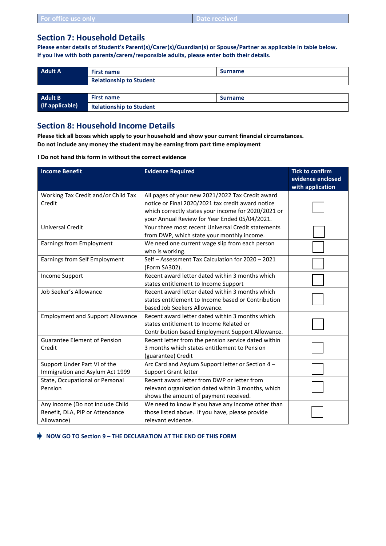| For office use only |  | <b>↓ Date received</b> |
|---------------------|--|------------------------|
|---------------------|--|------------------------|

### **Section 7: Household Details**

**Please enter details of Student's Parent(s)/Carer(s)/Guardian(s) or Spouse/Partner as applicable in table below. If you live with both parents/carers/responsible adults, please enter both their details.**

| <b>Adult A</b>  | <b>First name</b>              | <b>Surname</b> |  |
|-----------------|--------------------------------|----------------|--|
|                 | <b>Relationship to Student</b> |                |  |
|                 |                                |                |  |
| <b>Adult B</b>  | <b>First name</b>              | <b>Surname</b> |  |
| (If applicable) | <b>Relationship to Student</b> |                |  |

### **Section 8: Household Income Details**

**Please tick all boxes which apply to your household and show your current financial circumstances. Do not include any money the student may be earning from part time employment**

**! Do not hand this form in without the correct evidence**

| <b>Income Benefit</b>                                                             | <b>Evidence Required</b>                                                                                                                                                                                      | <b>Tick to confirm</b><br>evidence enclosed<br>with application |
|-----------------------------------------------------------------------------------|---------------------------------------------------------------------------------------------------------------------------------------------------------------------------------------------------------------|-----------------------------------------------------------------|
| Working Tax Credit and/or Child Tax<br>Credit                                     | All pages of your new 2021/2022 Tax Credit award<br>notice or Final 2020/2021 tax credit award notice<br>which correctly states your income for 2020/2021 or<br>your Annual Review for Year Ended 05/04/2021. |                                                                 |
| <b>Universal Credit</b>                                                           | Your three most recent Universal Credit statements<br>from DWP, which state your monthly income.                                                                                                              |                                                                 |
| Earnings from Employment                                                          | We need one current wage slip from each person<br>who is working.                                                                                                                                             |                                                                 |
| Earnings from Self Employment                                                     | Self - Assessment Tax Calculation for 2020 - 2021<br>(Form SA302).                                                                                                                                            |                                                                 |
| Income Support                                                                    | Recent award letter dated within 3 months which<br>states entitlement to Income Support                                                                                                                       |                                                                 |
| Job Seeker's Allowance                                                            | Recent award letter dated within 3 months which<br>states entitlement to Income based or Contribution<br>based Job Seekers Allowance.                                                                         |                                                                 |
| <b>Employment and Support Allowance</b>                                           | Recent award letter dated within 3 months which<br>states entitlement to Income Related or<br>Contribution based Employment Support Allowance.                                                                |                                                                 |
| <b>Guarantee Element of Pension</b><br>Credit                                     | Recent letter from the pension service dated within<br>3 months which states entitlement to Pension<br>(guarantee) Credit                                                                                     |                                                                 |
| Support Under Part VI of the<br>Immigration and Asylum Act 1999                   | Arc Card and Asylum Support letter or Section 4 -<br><b>Support Grant letter</b>                                                                                                                              |                                                                 |
| State, Occupational or Personal<br>Pension                                        | Recent award letter from DWP or letter from<br>relevant organisation dated within 3 months, which<br>shows the amount of payment received.                                                                    |                                                                 |
| Any income (Do not include Child<br>Benefit, DLA, PIP or Attendance<br>Allowance) | We need to know if you have any income other than<br>those listed above. If you have, please provide<br>relevant evidence.                                                                                    |                                                                 |

 **NOW GO TO Section 9 – THE DECLARATION AT THE END OF THIS FORM**